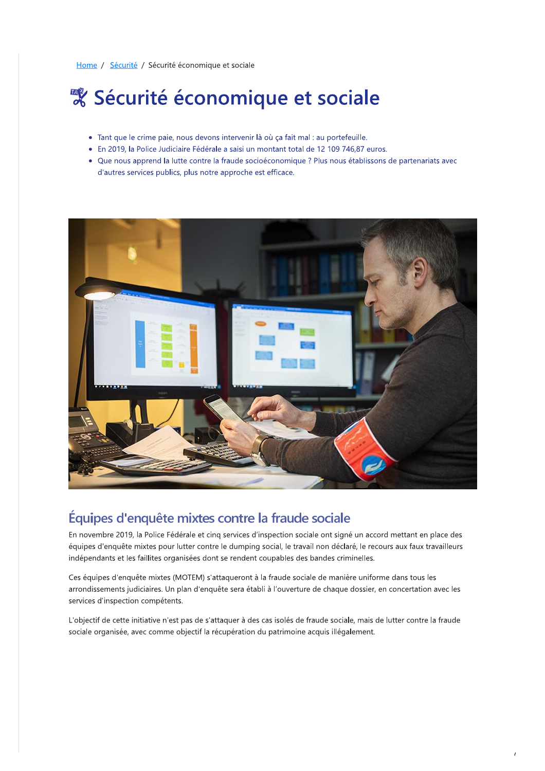Home / Sécurité / Sécurité économique et sociale

## & Sécurité économique et sociale

- · Tant que le crime paie, nous devons intervenir là où ça fait mal : au portefeuille.
- · En 2019, la Police Judiciaire Fédérale a saisi un montant total de 12 109 746,87 euros.
- · Que nous apprend la lutte contre la fraude socioéconomique ? Plus nous établissons de partenariats avec d'autres services publics, plus notre approche est efficace.



## Équipes d'enquête mixtes contre la fraude sociale

En novembre 2019, la Police Fédérale et cinq services d'inspection sociale ont signé un accord mettant en place des équipes d'enquête mixtes pour lutter contre le dumping social, le travail non déclaré, le recours aux faux travailleurs indépendants et les faillites organisées dont se rendent coupables des bandes criminelles.

Ces équipes d'enquête mixtes (MOTEM) s'attaqueront à la fraude sociale de manière uniforme dans tous les arrondissements judiciaires. Un plan d'enquête sera établi à l'ouverture de chaque dossier, en concertation avec les services d'inspection compétents.

L'objectif de cette initiative n'est pas de s'attaquer à des cas isolés de fraude sociale, mais de lutter contre la fraude sociale organisée, avec comme objectif la récupération du patrimoine acquis illégalement.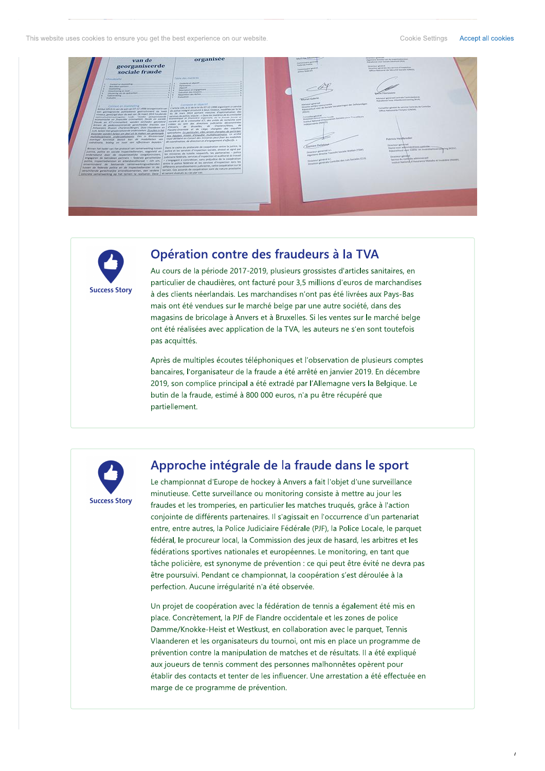This website uses cookies to ensure you get the best experience on our website.





## Opération contre des fraudeurs à la TVA

Au cours de la période 2017-2019, plusieurs grossistes d'articles sanitaires, en particulier de chaudières, ont facturé pour 3,5 millions d'euros de marchandises à des clients néerlandais. Les marchandises n'ont pas été livrées aux Pays-Bas mais ont été vendues sur le marché belge par une autre société, dans des magasins de bricolage à Anvers et à Bruxelles. Si les ventes sur le marché belge ont été réalisées avec application de la TVA, les auteurs ne s'en sont toutefois pas acquittés.

Après de multiples écoutes téléphoniques et l'observation de plusieurs comptes bancaires, l'organisateur de la fraude a été arrêté en janvier 2019. En décembre 2019, son complice principal a été extradé par l'Allemagne vers la Belgique. Le butin de la fraude, estimé à 800 000 euros, n'a pu être récupéré que partiellement.



## Approche intégrale de la fraude dans le sport

Le championnat d'Europe de hockey à Anvers a fait l'objet d'une surveillance minutieuse. Cette surveillance ou monitoring consiste à mettre au jour les fraudes et les tromperies, en particulier les matches truqués, grâce à l'action conjointe de différents partenaires. Il s'agissait en l'occurrence d'un partenariat entre, entre autres, la Police Judiciaire Fédérale (PJF), la Police Locale, le parquet fédéral, le procureur local, la Commission des jeux de hasard, les arbitres et les fédérations sportives nationales et européennes. Le monitoring, en tant que tâche policière, est synonyme de prévention : ce qui peut être évité ne devra pas être poursuivi. Pendant ce championnat, la coopération s'est déroulée à la perfection. Aucune irrégularité n'a été observée.

Un projet de coopération avec la fédération de tennis a également été mis en place. Concrètement, la PJF de Flandre occidentale et les zones de police Damme/Knokke-Heist et Westkust, en collaboration avec le parquet, Tennis Vlaanderen et les organisateurs du tournoi, ont mis en place un programme de prévention contre la manipulation de matches et de résultats. Il a été expliqué aux joueurs de tennis comment des personnes malhonnêtes opèrent pour établir des contacts et tenter de les influencer. Une arrestation a été effectuée en marge de ce programme de prévention.